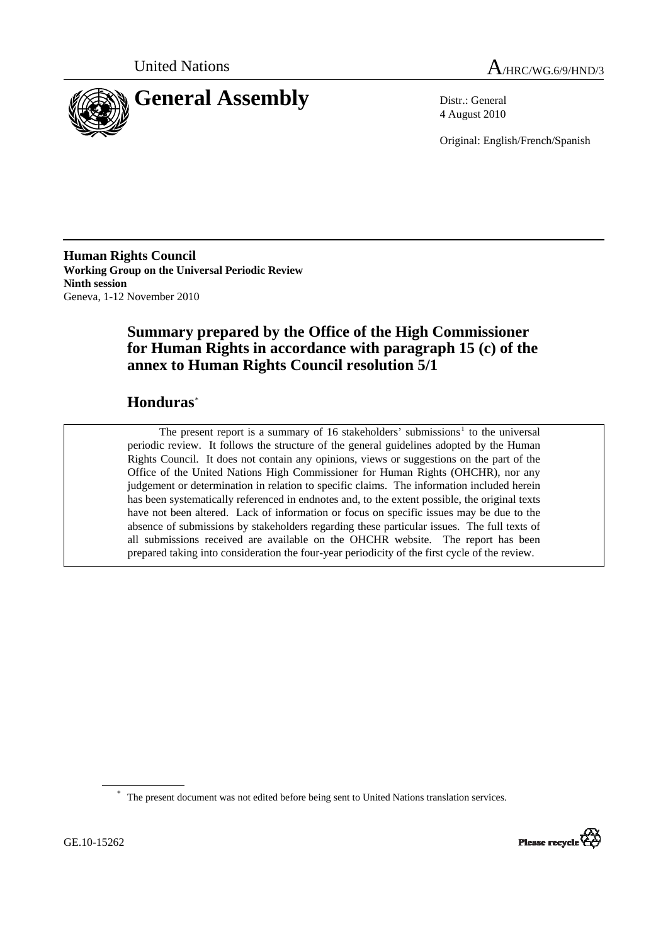



4 August 2010

Original: English/French/Spanish

**Human Rights Council Working Group on the Universal Periodic Review Ninth session**  Geneva, 1-12 November 2010

# **Summary prepared by the Office of the High Commissioner for Human Rights in accordance with paragraph 15 (c) of the annex to Human Rights Council resolution 5/1**

# **Honduras**[\\*](#page-0-0)

The present report is a summary of [1](#page-13-0)6 stakeholders' submissions<sup>1</sup> to the universal periodic review. It follows the structure of the general guidelines adopted by the Human Rights Council. It does not contain any opinions, views or suggestions on the part of the Office of the United Nations High Commissioner for Human Rights (OHCHR), nor any judgement or determination in relation to specific claims. The information included herein has been systematically referenced in endnotes and, to the extent possible, the original texts have not been altered. Lack of information or focus on specific issues may be due to the absence of submissions by stakeholders regarding these particular issues. The full texts of all submissions received are available on the OHCHR website. The report has been prepared taking into consideration the four-year periodicity of the first cycle of the review.

<span id="page-0-0"></span><sup>\*</sup> The present document was not edited before being sent to United Nations translation services.

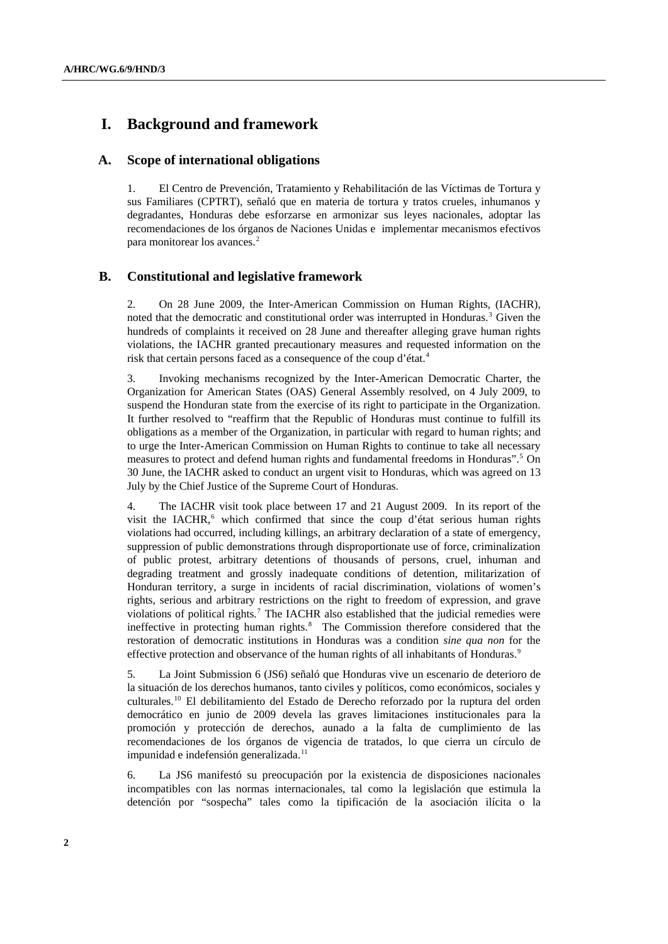## **I. Background and framework**

### **A. Scope of international obligations**

1. El Centro de Prevención, Tratamiento y Rehabilitación de las Víctimas de Tortura y sus Familiares (CPTRT), señaló que en materia de tortura y tratos crueles, inhumanos y degradantes, Honduras debe esforzarse en armonizar sus leyes nacionales, adoptar las recomendaciones de los órganos de Naciones Unidas e implementar mecanismos efectivos para monitorear los avances.<sup>[2](#page-13-1)</sup>

## **B. Constitutional and legislative framework**

2. On 28 June 2009, the Inter-American Commission on Human Rights, (IACHR), noted that the democratic and constitutional order was interrupted in Honduras.<sup>[3](#page-13-1)</sup> Given the hundreds of complaints it received on 28 June and thereafter alleging grave human rights violations, the IACHR granted precautionary measures and requested information on the risk that certain persons faced as a consequence of the coup d'état.<sup>[4](#page-13-1)</sup>

3. Invoking mechanisms recognized by the Inter-American Democratic Charter, the Organization for American States (OAS) General Assembly resolved, on 4 July 2009, to suspend the Honduran state from the exercise of its right to participate in the Organization. It further resolved to "reaffirm that the Republic of Honduras must continue to fulfill its obligations as a member of the Organization, in particular with regard to human rights; and to urge the Inter-American Commission on Human Rights to continue to take all necessary measures to protect and defend human rights and fundamental freedoms in Honduras".<sup>[5](#page-13-1)</sup> On 30 June, the IACHR asked to conduct an urgent visit to Honduras, which was agreed on 13 July by the Chief Justice of the Supreme Court of Honduras.

4. The IACHR visit took place between 17 and 21 August 2009. In its report of the visit the IACHR,<sup>[6](#page-13-1)</sup> which confirmed that since the coup d'état serious human rights violations had occurred, including killings, an arbitrary declaration of a state of emergency, suppression of public demonstrations through disproportionate use of force, criminalization of public protest, arbitrary detentions of thousands of persons, cruel, inhuman and degrading treatment and grossly inadequate conditions of detention, militarization of Honduran territory, a surge in incidents of racial discrimination, violations of women's rights, serious and arbitrary restrictions on the right to freedom of expression, and grave violations of political rights.<sup>[7](#page-13-1)</sup> The IACHR also established that the judicial remedies were ineffective in protecting human rights.<sup>[8](#page-13-1)</sup> The Commission therefore considered that the restoration of democratic institutions in Honduras was a condition *sine qua non* for the effective protection and observance of the human rights of all inhabitants of Honduras.<sup>[9](#page-13-1)</sup>

5. La Joint Submission 6 (JS6) señaló que Honduras vive un escenario de deterioro de la situación de los derechos humanos, tanto civiles y políticos, como económicos, sociales y culturales.[10](#page-13-1) El debilitamiento del Estado de Derecho reforzado por la ruptura del orden democrático en junio de 2009 devela las graves limitaciones institucionales para la promoción y protección de derechos, aunado a la falta de cumplimiento de las recomendaciones de los órganos de vigencia de tratados, lo que cierra un círculo de impunidad e indefensión generalizada.<sup>[11](#page-13-1)</sup>

6. La JS6 manifestó su preocupación por la existencia de disposiciones nacionales incompatibles con las normas internacionales, tal como la legislación que estimula la detención por "sospecha" tales como la tipificación de la asociación ilícita o la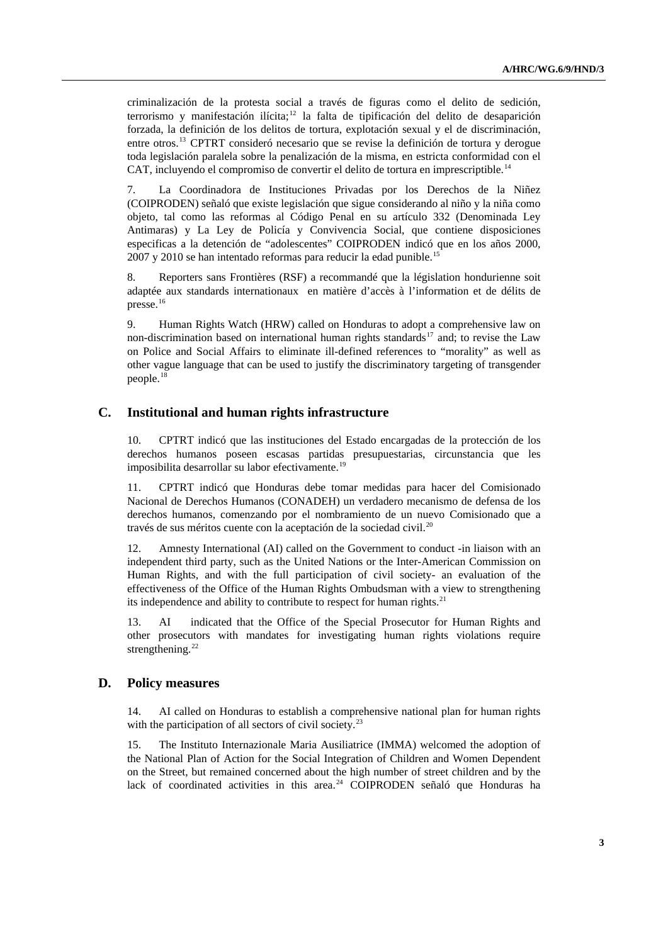criminalización de la protesta social a través de figuras como el delito de sedición, terrorismo y manifestación ilícita;<sup>[12](#page-13-1)</sup> la falta de tipificación del delito de desaparición forzada, la definición de los delitos de tortura, explotación sexual y el de discriminación, entre otros.[13](#page-13-1) CPTRT consideró necesario que se revise la definición de tortura y derogue toda legislación paralela sobre la penalización de la misma, en estricta conformidad con el CAT, incluvendo el compromiso de convertir el delito de tortura en imprescriptible.<sup>[14](#page-13-1)</sup>

7. La Coordinadora de Instituciones Privadas por los Derechos de la Niñez (COIPRODEN) señaló que existe legislación que sigue considerando al niño y la niña como objeto, tal como las reformas al Código Penal en su artículo 332 (Denominada Ley Antimaras) y La Ley de Policía y Convivencia Social, que contiene disposiciones especificas a la detención de "adolescentes" COIPRODEN indicó que en los años 2000, 2007 y 2010 se han intentado reformas para reducir la edad punible.<sup>[15](#page-13-1)</sup>

8. Reporters sans Frontières (RSF) a recommandé que la législation hondurienne soit adaptée aux standards internationaux en matière d'accès à l'information et de délits de presse.<sup>[16](#page-13-1)</sup>

9. Human Rights Watch (HRW) called on Honduras to adopt a comprehensive law on non-discrimination based on international human rights standards<sup>[17](#page-13-1)</sup> and; to revise the Law on Police and Social Affairs to eliminate ill-defined references to "morality" as well as other vague language that can be used to justify the discriminatory targeting of transgender people.[18](#page-13-1)

### **C. Institutional and human rights infrastructure**

10. CPTRT indicó que las instituciones del Estado encargadas de la protección de los derechos humanos poseen escasas partidas presupuestarias, circunstancia que les imposibilita desarrollar su labor efectivamente.<sup>[19](#page-13-1)</sup>

11. CPTRT indicó que Honduras debe tomar medidas para hacer del Comisionado Nacional de Derechos Humanos (CONADEH) un verdadero mecanismo de defensa de los derechos humanos, comenzando por el nombramiento de un nuevo Comisionado que a través de sus méritos cuente con la aceptación de la sociedad civil.<sup>[20](#page-13-1)</sup>

12. Amnesty International (AI) called on the Government to conduct -in liaison with an independent third party, such as the United Nations or the Inter-American Commission on Human Rights, and with the full participation of civil society- an evaluation of the effectiveness of the Office of the Human Rights Ombudsman with a view to strengthening its independence and ability to contribute to respect for human rights.<sup>[21](#page-13-1)</sup>

13. AI indicated that the Office of the Special Prosecutor for Human Rights and other prosecutors with mandates for investigating human rights violations require strengthening. $22$ 

## **D. Policy measures**

14. AI called on Honduras to establish a comprehensive national plan for human rights with the participation of all sectors of civil society.<sup>[23](#page-13-1)</sup>

15. The Instituto Internazionale Maria Ausiliatrice (IMMA) welcomed the adoption of the National Plan of Action for the Social Integration of Children and Women Dependent on the Street, but remained concerned about the high number of street children and by the lack of coordinated activities in this area.<sup>[24](#page-13-1)</sup> COIPRODEN señaló que Honduras ha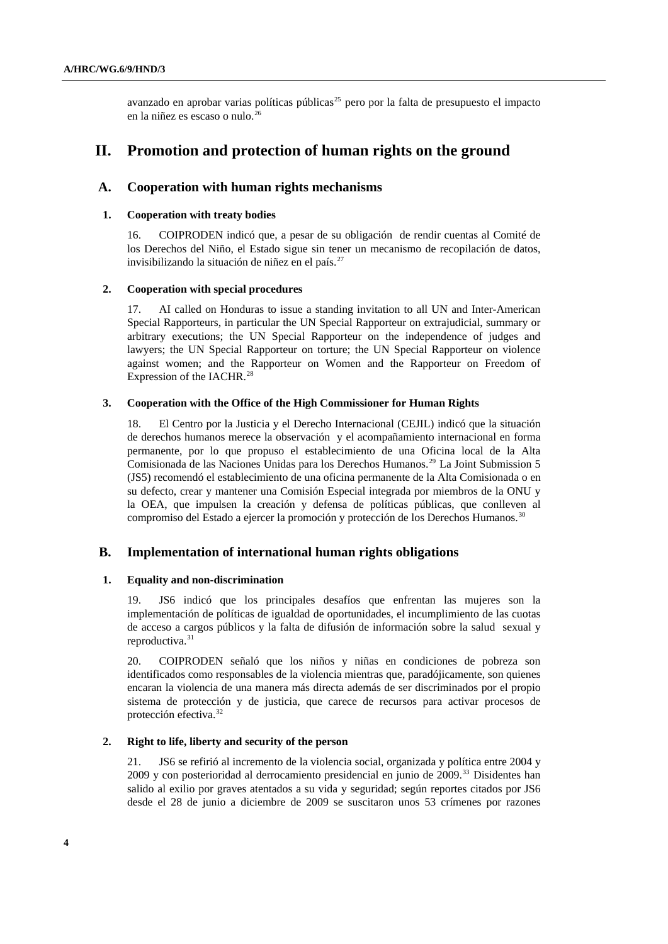avanzado en aprobar varias políticas públicas<sup>[25](#page-13-1)</sup> pero por la falta de presupuesto el impacto en la niñez es escaso o nulo.<sup>[26](#page-13-1)</sup>

## **II. Promotion and protection of human rights on the ground**

## **A. Cooperation with human rights mechanisms**

#### **1. Cooperation with treaty bodies**

16. COIPRODEN indicó que, a pesar de su obligación de rendir cuentas al Comité de los Derechos del Niño, el Estado sigue sin tener un mecanismo de recopilación de datos, invisibilizando la situación de niñez en el país.<sup>[27](#page-13-1)</sup>

#### **2. Cooperation with special procedures**

17. AI called on Honduras to issue a standing invitation to all UN and Inter-American Special Rapporteurs, in particular the UN Special Rapporteur on extrajudicial, summary or arbitrary executions; the UN Special Rapporteur on the independence of judges and lawyers; the UN Special Rapporteur on torture; the UN Special Rapporteur on violence against women; and the Rapporteur on Women and the Rapporteur on Freedom of Expression of the IACHR.<sup>[28](#page-13-1)</sup>

#### **3. Cooperation with the Office of the High Commissioner for Human Rights**

18. El Centro por la Justicia y el Derecho Internacional (CEJIL) indicó que la situación de derechos humanos merece la observación y el acompañamiento internacional en forma permanente, por lo que propuso el establecimiento de una Oficina local de la Alta Comisionada de las Naciones Unidas para los Derechos Humanos.[29](#page-13-1) La Joint Submission 5 (JS5) recomendó el establecimiento de una oficina permanente de la Alta Comisionada o en su defecto, crear y mantener una Comisión Especial integrada por miembros de la ONU y la OEA, que impulsen la creación y defensa de políticas públicas, que conlleven al compromiso del Estado a ejercer la promoción y protección de los Derechos Humanos.[30](#page-13-1)

### **B. Implementation of international human rights obligations**

### **1. Equality and non-discrimination**

19. JS6 indicó que los principales desafíos que enfrentan las mujeres son la implementación de políticas de igualdad de oportunidades, el incumplimiento de las cuotas de acceso a cargos públicos y la falta de difusión de información sobre la salud sexual y reproductiva.<sup>[31](#page-13-1)</sup>

20. COIPRODEN señaló que los niños y niñas en condiciones de pobreza son identificados como responsables de la violencia mientras que, paradójicamente, son quienes encaran la violencia de una manera más directa además de ser discriminados por el propio sistema de protección y de justicia, que carece de recursos para activar procesos de protección efectiva.[32](#page-13-1)

#### **2. Right to life, liberty and security of the person**

21. JS6 se refirió al incremento de la violencia social, organizada y política entre 2004 y 2009 y con posterioridad al derrocamiento presidencial en junio de 2009[.33](#page-13-1) Disidentes han salido al exilio por graves atentados a su vida y seguridad; según reportes citados por JS6 desde el 28 de junio a diciembre de 2009 se suscitaron unos 53 crímenes por razones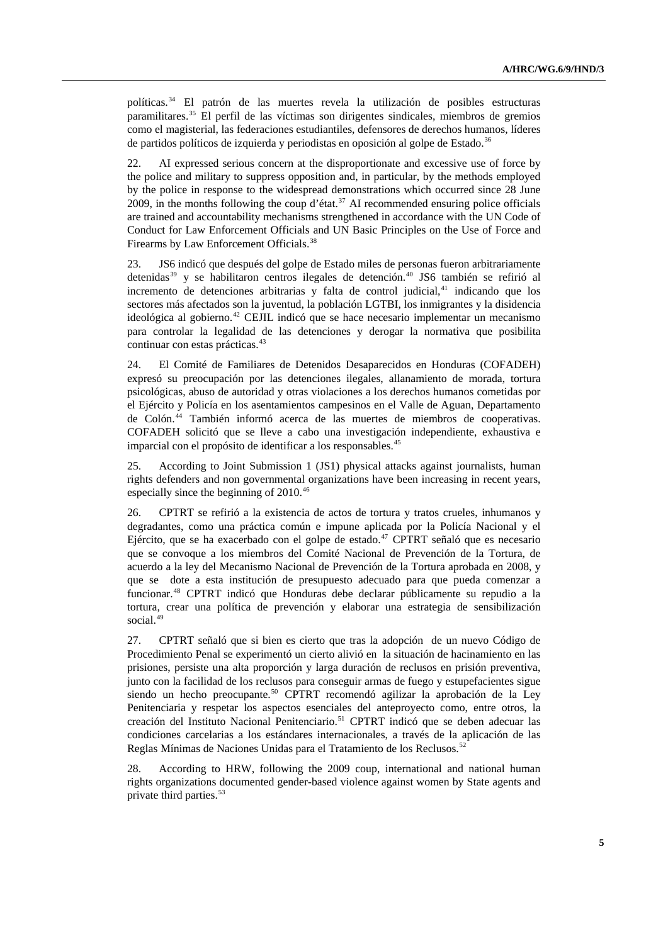políticas.[34](#page-13-1) El patrón de las muertes revela la utilización de posibles estructuras paramilitares.[35](#page-13-1) El perfil de las víctimas son dirigentes sindicales, miembros de gremios como el magisterial, las federaciones estudiantiles, defensores de derechos humanos, líderes de partidos políticos de izquierda y periodistas en oposición al golpe de Estado.<sup>[36](#page-13-1)</sup>

22. AI expressed serious concern at the disproportionate and excessive use of force by the police and military to suppress opposition and, in particular, by the methods employed by the police in response to the widespread demonstrations which occurred since 28 June 2009, in the months following the coup d'état.<sup>[37](#page-13-1)</sup> AI recommended ensuring police officials are trained and accountability mechanisms strengthened in accordance with the UN Code of Conduct for Law Enforcement Officials and UN Basic Principles on the Use of Force and Firearms by Law Enforcement Officials.<sup>[38](#page-13-1)</sup>

23. JS6 indicó que después del golpe de Estado miles de personas fueron arbitrariamente detenidas<sup>[39](#page-13-1)</sup> y se habilitaron centros ilegales de detención.<sup>[40](#page-13-1)</sup> JS6 también se refirió al incremento de detenciones arbitrarias y falta de control judicial,<sup>[41](#page-13-1)</sup> indicando que los sectores más afectados son la juventud, la población LGTBI, los inmigrantes y la disidencia ideológica al gobierno.[42](#page-13-1) CEJIL indicó que se hace necesario implementar un mecanismo para controlar la legalidad de las detenciones y derogar la normativa que posibilita continuar con estas prácticas.<sup>[43](#page-13-1)</sup>

24. El Comité de Familiares de Detenidos Desaparecidos en Honduras (COFADEH) expresó su preocupación por las detenciones ilegales, allanamiento de morada, tortura psicológicas, abuso de autoridad y otras violaciones a los derechos humanos cometidas por el Ejército y Policía en los asentamientos campesinos en el Valle de Aguan, Departamento de Colón.<sup>44</sup> También informó acerca de las muertes de miembros de cooperativas. COFADEH solicitó que se lleve a cabo una investigación independiente, exhaustiva e imparcial con el propósito de identificar a los responsables.<sup>[45](#page-13-1)</sup>

25. According to Joint Submission 1 (JS1) physical attacks against journalists, human rights defenders and non governmental organizations have been increasing in recent years, especially since the beginning of 2010.<sup>[46](#page-13-1)</sup>

26. CPTRT se refirió a la existencia de actos de tortura y tratos crueles, inhumanos y degradantes, como una práctica común e impune aplicada por la Policía Nacional y el Ejército, que se ha exacerbado con el golpe de estado.<sup>[47](#page-13-1)</sup> CPTRT señaló que es necesario que se convoque a los miembros del Comité Nacional de Prevención de la Tortura, de acuerdo a la ley del Mecanismo Nacional de Prevención de la Tortura aprobada en 2008, y que se dote a esta institución de presupuesto adecuado para que pueda comenzar a funcionar.[48](#page-13-1) CPTRT indicó que Honduras debe declarar públicamente su repudio a la tortura, crear una política de prevención y elaborar una estrategia de sensibilización social.<sup>[49](#page-13-1)</sup>

27. CPTRT señaló que si bien es cierto que tras la adopción de un nuevo Código de Procedimiento Penal se experimentó un cierto alivió en la situación de hacinamiento en las prisiones, persiste una alta proporción y larga duración de reclusos en prisión preventiva, junto con la facilidad de los reclusos para conseguir armas de fuego y estupefacientes sigue siendo un hecho preocupante.<sup>[50](#page-13-1)</sup> CPTRT recomendó agilizar la aprobación de la Ley Penitenciaria y respetar los aspectos esenciales del anteproyecto como, entre otros, la creación del Instituto Nacional Penitenciario.<sup>[51](#page-13-1)</sup> CPTRT indicó que se deben adecuar las condiciones carcelarias a los estándares internacionales, a través de la aplicación de las Reglas Mínimas de Naciones Unidas para el Tratamiento de los Reclusos.<sup>5</sup>

28. According to HRW, following the 2009 coup, international and national human rights organizations documented gender-based violence against women by State agents and private third parties.<sup>[53](#page-13-1)</sup>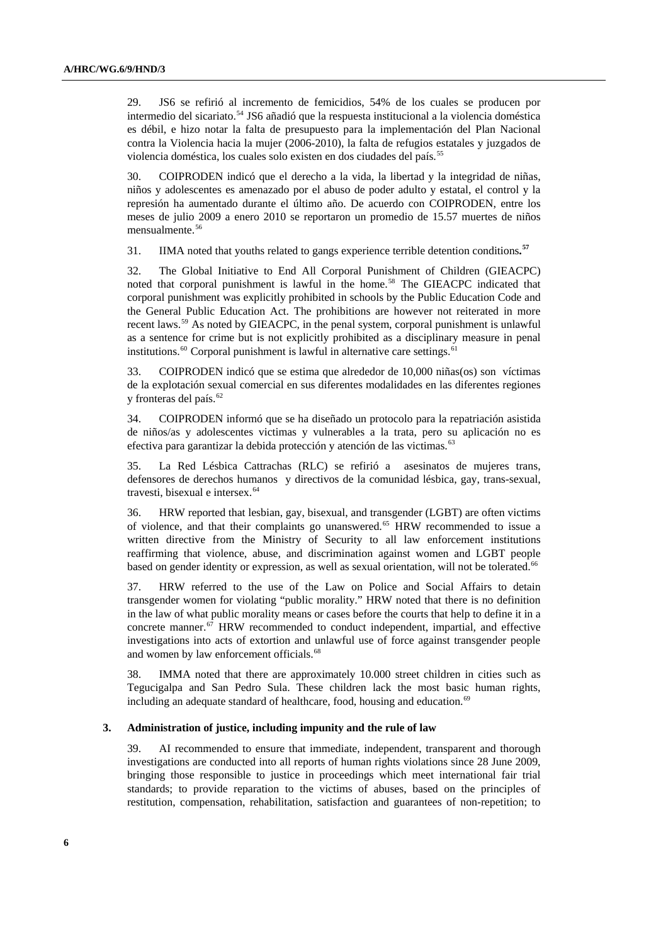29. JS6 se refirió al incremento de femicidios, 54% de los cuales se producen por intermedio del sicariato.<sup>[54](#page-13-1)</sup> JS6 añadió que la respuesta institucional a la violencia doméstica es débil, e hizo notar la falta de presupuesto para la implementación del Plan Nacional contra la Violencia hacia la mujer (2006-2010), la falta de refugios estatales y juzgados de violencia doméstica, los cuales solo existen en dos ciudades del país.<sup>[55](#page-13-1)</sup>

30. COIPRODEN indicó que el derecho a la vida, la libertad y la integridad de niñas, niños y adolescentes es amenazado por el abuso de poder adulto y estatal, el control y la represión ha aumentado durante el último año. De acuerdo con COIPRODEN, entre los meses de julio 2009 a enero 2010 se reportaron un promedio de 15.57 muertes de niños mensualmente.<sup>[56](#page-13-1)</sup>

31. IIMA noted that youths related to gangs experience terrible detention conditions**. [57](#page-13-1)**

32. The Global Initiative to End All Corporal Punishment of Children (GIEACPC) noted that corporal punishment is lawful in the home.<sup>[58](#page-13-1)</sup> The GIEACPC indicated that corporal punishment was explicitly prohibited in schools by the Public Education Code and the General Public Education Act. The prohibitions are however not reiterated in more recent laws.[59](#page-13-1) As noted by GIEACPC, in the penal system, corporal punishment is unlawful as a sentence for crime but is not explicitly prohibited as a disciplinary measure in penal institutions.<sup>[60](#page-13-1)</sup> Corporal punishment is lawful in alternative care settings.<sup>[61](#page-13-1)</sup>

33. COIPRODEN indicó que se estima que alrededor de 10,000 niñas(os) son víctimas de la explotación sexual comercial en sus diferentes modalidades en las diferentes regiones y fronteras del país.<sup>[62](#page-13-1)</sup>

34. COIPRODEN informó que se ha diseñado un protocolo para la repatriación asistida de niños/as y adolescentes victimas y vulnerables a la trata, pero su aplicación no es efectiva para garantizar la debida protección y atención de las victimas.<sup>[63](#page-13-1)</sup>

35. La Red Lésbica Cattrachas (RLC) se refirió a asesinatos de mujeres trans, defensores de derechos humanos y directivos de la comunidad lésbica, gay, trans-sexual, travesti, bisexual e intersex.<sup>[64](#page-13-1)</sup>

36. HRW reported that lesbian, gay, bisexual, and transgender (LGBT) are often victims of violence, and that their complaints go unanswered.<sup>[65](#page-13-1)</sup> HRW recommended to issue a written directive from the Ministry of Security to all law enforcement institutions reaffirming that violence, abuse, and discrimination against women and LGBT people based on gender identity or expression, as well as sexual orientation, will not be tolerated.<sup>66</sup>

37. HRW referred to the use of the Law on Police and Social Affairs to detain transgender women for violating "public morality." HRW noted that there is no definition in the law of what public morality means or cases before the courts that help to define it in a concrete manner.<sup>[67](#page-13-1)</sup> HRW recommended to conduct independent, impartial, and effective investigations into acts of extortion and unlawful use of force against transgender people and women by law enforcement officials.<sup>[68](#page-13-1)</sup>

38. IMMA noted that there are approximately 10.000 street children in cities such as Tegucigalpa and San Pedro Sula. These children lack the most basic human rights, including an adequate standard of healthcare, food, housing and education.<sup>[69](#page-13-1)</sup>

#### **3. Administration of justice, including impunity and the rule of law**

39. AI recommended to ensure that immediate, independent, transparent and thorough investigations are conducted into all reports of human rights violations since 28 June 2009, bringing those responsible to justice in proceedings which meet international fair trial standards; to provide reparation to the victims of abuses, based on the principles of restitution, compensation, rehabilitation, satisfaction and guarantees of non-repetition; to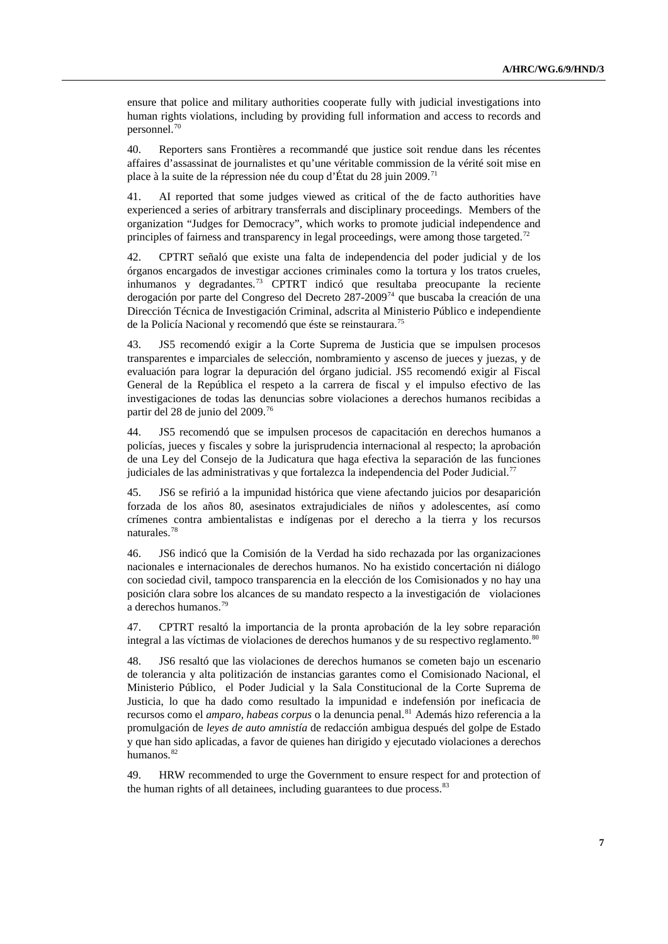ensure that police and military authorities cooperate fully with judicial investigations into human rights violations, including by providing full information and access to records and personnel.[70](#page-13-1)

40. Reporters sans Frontières a recommandé que justice soit rendue dans les récentes affaires d'assassinat de journalistes et qu'une véritable commission de la vérité soit mise en place à la suite de la répression née du coup d'État du 28 juin 2009.<sup>[71](#page-13-1)</sup>

41. AI reported that some judges viewed as critical of the de facto authorities have experienced a series of arbitrary transferrals and disciplinary proceedings. Members of the organization "Judges for Democracy", which works to promote judicial independence and principles of fairness and transparency in legal proceedings, were among those targeted.<sup>[72](#page-13-1)</sup>

42. CPTRT señaló que existe una falta de independencia del poder judicial y de los órganos encargados de investigar acciones criminales como la tortura y los tratos crueles, inhumanos y degradantes.<sup>[73](#page-13-1)</sup> CPTRT indicó que resultaba preocupante la reciente derogación por parte del Congreso del Decreto 287-2009<sup>[74](#page-13-1)</sup> que buscaba la creación de una Dirección Técnica de Investigación Criminal, adscrita al Ministerio Público e independiente de la Policía Nacional y recomendó que éste se reinstaurara.<sup>75</sup>

43. JS5 recomendó exigir a la Corte Suprema de Justicia que se impulsen procesos transparentes e imparciales de selección, nombramiento y ascenso de jueces y juezas, y de evaluación para lograr la depuración del órgano judicial. JS5 recomendó exigir al Fiscal General de la República el respeto a la carrera de fiscal y el impulso efectivo de las investigaciones de todas las denuncias sobre violaciones a derechos humanos recibidas a partir del 28 de junio del 2009.<sup>[76](#page-13-1)</sup>

44. JS5 recomendó que se impulsen procesos de capacitación en derechos humanos a policías, jueces y fiscales y sobre la jurisprudencia internacional al respecto; la aprobación de una Ley del Consejo de la Judicatura que haga efectiva la separación de las funciones judiciales de las administrativas y que fortalezca la independencia del Poder Judicial.<sup>[77](#page-13-1)</sup>

45. JS6 se refirió a la impunidad histórica que viene afectando juicios por desaparición forzada de los años 80, asesinatos extrajudiciales de niños y adolescentes, así como crímenes contra ambientalistas e indígenas por el derecho a la tierra y los recursos naturales.[78](#page-13-1)

46. JS6 indicó que la Comisión de la Verdad ha sido rechazada por las organizaciones nacionales e internacionales de derechos humanos. No ha existido concertación ni diálogo con sociedad civil, tampoco transparencia en la elección de los Comisionados y no hay una posición clara sobre los alcances de su mandato respecto a la investigación de violaciones a derechos humanos.[79](#page-13-1)

47. CPTRT resaltó la importancia de la pronta aprobación de la ley sobre reparación integral a las víctimas de violaciones de derechos humanos y de su respectivo reglamento.<sup>[80](#page-13-1)</sup>

48. JS6 resaltó que las violaciones de derechos humanos se cometen bajo un escenario de tolerancia y alta politización de instancias garantes como el Comisionado Nacional, el Ministerio Público, el Poder Judicial y la Sala Constitucional de la Corte Suprema de Justicia, lo que ha dado como resultado la impunidad e indefensión por ineficacia de recursos como el *amparo, habeas corpus* o la denuncia penal.<sup>[81](#page-13-1)</sup> Además hizo referencia a la promulgación de *leyes de auto amnistía* de redacción ambigua después del golpe de Estado y que han sido aplicadas, a favor de quienes han dirigido y ejecutado violaciones a derechos humanos.<sup>[82](#page-13-1)</sup>

49. HRW recommended to urge the Government to ensure respect for and protection of the human rights of all detainees, including guarantees to due process.<sup>83</sup>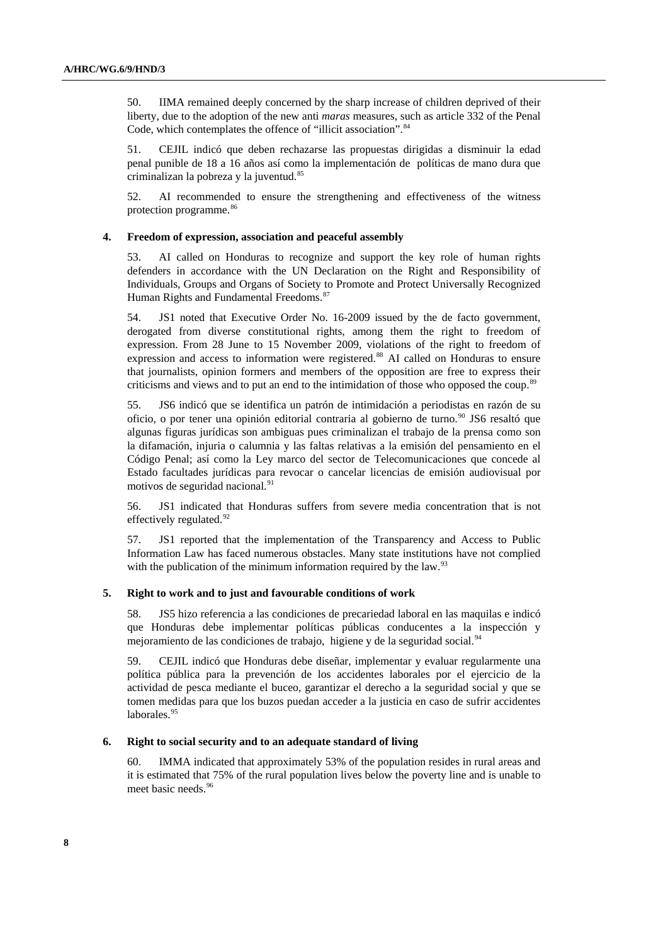50. IIMA remained deeply concerned by the sharp increase of children deprived of their liberty, due to the adoption of the new anti *maras* measures, such as article 332 of the Penal Code, which contemplates the offence of "illicit association".<sup>[84](#page-13-1)</sup>

51. CEJIL indicó que deben rechazarse las propuestas dirigidas a disminuir la edad penal punible de 18 a 16 años así como la implementación de políticas de mano dura que criminalizan la pobreza y la juventud.<sup>[85](#page-13-1)</sup>

52. AI recommended to ensure the strengthening and effectiveness of the witness protection programme.<sup>[86](#page-13-1)</sup>

#### **4. Freedom of expression, association and peaceful assembly**

53. AI called on Honduras to recognize and support the key role of human rights defenders in accordance with the UN Declaration on the Right and Responsibility of Individuals, Groups and Organs of Society to Promote and Protect Universally Recognized Human Rights and Fundamental Freedoms.<sup>[87](#page-13-1)</sup>

54. JS1 noted that Executive Order No. 16-2009 issued by the de facto government, derogated from diverse constitutional rights, among them the right to freedom of expression. From 28 June to 15 November 2009, violations of the right to freedom of expression and access to information were registered.<sup>[88](#page-13-1)</sup> AI called on Honduras to ensure that journalists, opinion formers and members of the opposition are free to express their criticisms and views and to put an end to the intimidation of those who opposed the coup.<sup>[89](#page-13-1)</sup>

55. JS6 indicó que se identifica un patrón de intimidación a periodistas en razón de su oficio, o por tener una opinión editorial contraria al gobierno de turno.<sup>[90](#page-13-1)</sup> JS6 resaltó que algunas figuras jurídicas son ambiguas pues criminalizan el trabajo de la prensa como son la difamación, injuria o calumnia y las faltas relativas a la emisión del pensamiento en el Código Penal; así como la Ley marco del sector de Telecomunicaciones que concede al Estado facultades jurídicas para revocar o cancelar licencias de emisión audiovisual por motivos de seguridad nacional.<sup>[91](#page-13-1)</sup>

56. JS1 indicated that Honduras suffers from severe media concentration that is not effectively regulated.<sup>[92](#page-13-1)</sup>

57. JS1 reported that the implementation of the Transparency and Access to Public Information Law has faced numerous obstacles. Many state institutions have not complied with the publication of the minimum information required by the law. $93$ 

#### **5. Right to work and to just and favourable conditions of work**

58. JS5 hizo referencia a las condiciones de precariedad laboral en las maquilas e indicó que Honduras debe implementar políticas públicas conducentes a la inspección y mejoramiento de las condiciones de trabajo, higiene y de la seguridad social.<sup>[94](#page-13-1)</sup>

59. CEJIL indicó que Honduras debe diseñar, implementar y evaluar regularmente una política pública para la prevención de los accidentes laborales por el ejercicio de la actividad de pesca mediante el buceo, garantizar el derecho a la seguridad social y que se tomen medidas para que los buzos puedan acceder a la justicia en caso de sufrir accidentes laborales.<sup>[95](#page-13-1)</sup>

#### **6. Right to social security and to an adequate standard of living**

60. IMMA indicated that approximately 53% of the population resides in rural areas and it is estimated that 75% of the rural population lives below the poverty line and is unable to meet basic needs.<sup>[96](#page-13-1)</sup>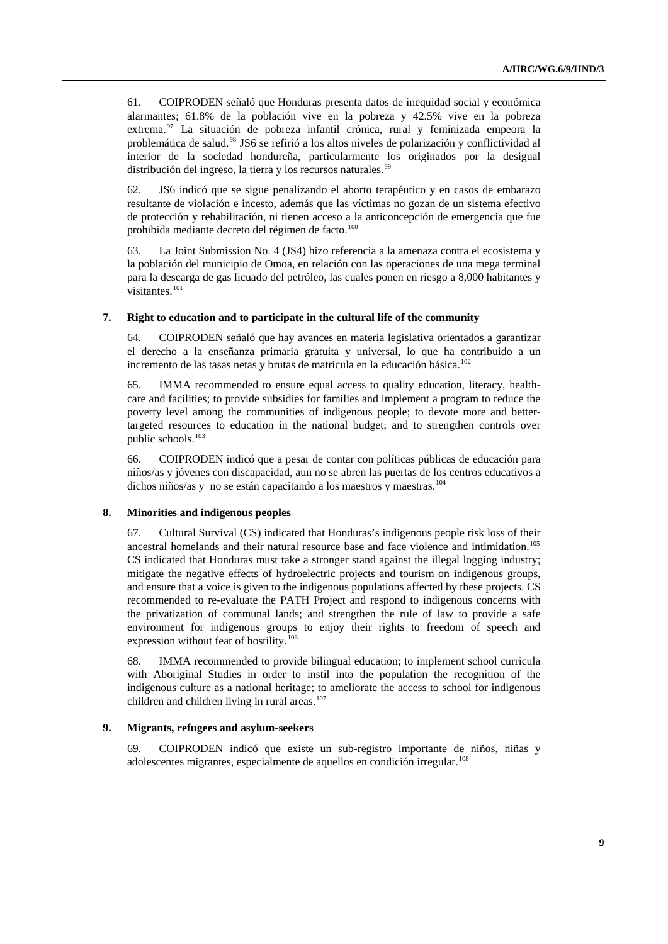61. COIPRODEN señaló que Honduras presenta datos de inequidad social y económica alarmantes; 61.8% de la población vive en la pobreza y 42.5% vive en la pobreza extrema.[97](#page-13-1) La situación de pobreza infantil crónica, rural y feminizada empeora la problemática de salud.[98](#page-13-1) JS6 se refirió a los altos niveles de polarización y conflictividad al interior de la sociedad hondureña, particularmente los originados por la desigual distribución del ingreso, la tierra y los recursos naturales.<sup>[99](#page-13-1)</sup>

62. JS6 indicó que se sigue penalizando el aborto terapéutico y en casos de embarazo resultante de violación e incesto, además que las víctimas no gozan de un sistema efectivo de protección y rehabilitación, ni tienen acceso a la anticoncepción de emergencia que fue prohibida mediante decreto del régimen de facto.<sup>[100](#page-13-1)</sup>

63. La Joint Submission No. 4 (JS4) hizo referencia a la amenaza contra el ecosistema y la población del municipio de Omoa, en relación con las operaciones de una mega terminal para la descarga de gas licuado del petróleo, las cuales ponen en riesgo a 8,000 habitantes y visitantes.<sup>[101](#page-13-1)</sup>

#### **7. Right to education and to participate in the cultural life of the community**

64. COIPRODEN señaló que hay avances en materia legislativa orientados a garantizar el derecho a la enseñanza primaria gratuita y universal, lo que ha contribuido a un incremento de las tasas netas y brutas de matricula en la educación básica.<sup>[102](#page-13-1)</sup>

65. IMMA recommended to ensure equal access to quality education, literacy, healthcare and facilities; to provide subsidies for families and implement a program to reduce the poverty level among the communities of indigenous people; to devote more and bettertargeted resources to education in the national budget; and to strengthen controls over public schools.<sup>[103](#page-13-1)</sup>

66. COIPRODEN indicó que a pesar de contar con políticas públicas de educación para niños/as y jóvenes con discapacidad, aun no se abren las puertas de los centros educativos a dichos niños/as y no se están capacitando a los maestros y maestras.<sup>[104](#page-13-1)</sup>

#### **8. Minorities and indigenous peoples**

67. Cultural Survival (CS) indicated that Honduras's indigenous people risk loss of their ancestral homelands and their natural resource base and face violence and intimidation.[105](#page-13-1) CS indicated that Honduras must take a stronger stand against the illegal logging industry; mitigate the negative effects of hydroelectric projects and tourism on indigenous groups, and ensure that a voice is given to the indigenous populations affected by these projects. CS recommended to re-evaluate the PATH Project and respond to indigenous concerns with the privatization of communal lands; and strengthen the rule of law to provide a safe environment for indigenous groups to enjoy their rights to freedom of speech and expression without fear of hostility.<sup>[106](#page-13-1)</sup>

68. IMMA recommended to provide bilingual education; to implement school curricula with Aboriginal Studies in order to instil into the population the recognition of the indigenous culture as a national heritage; to ameliorate the access to school for indigenous children and children living in rural areas. $107$ 

#### **9. Migrants, refugees and asylum-seekers**

69. COIPRODEN indicó que existe un sub-registro importante de niños, niñas y adolescentes migrantes, especialmente de aquellos en condición irregular.<sup>[108](#page-13-1)</sup>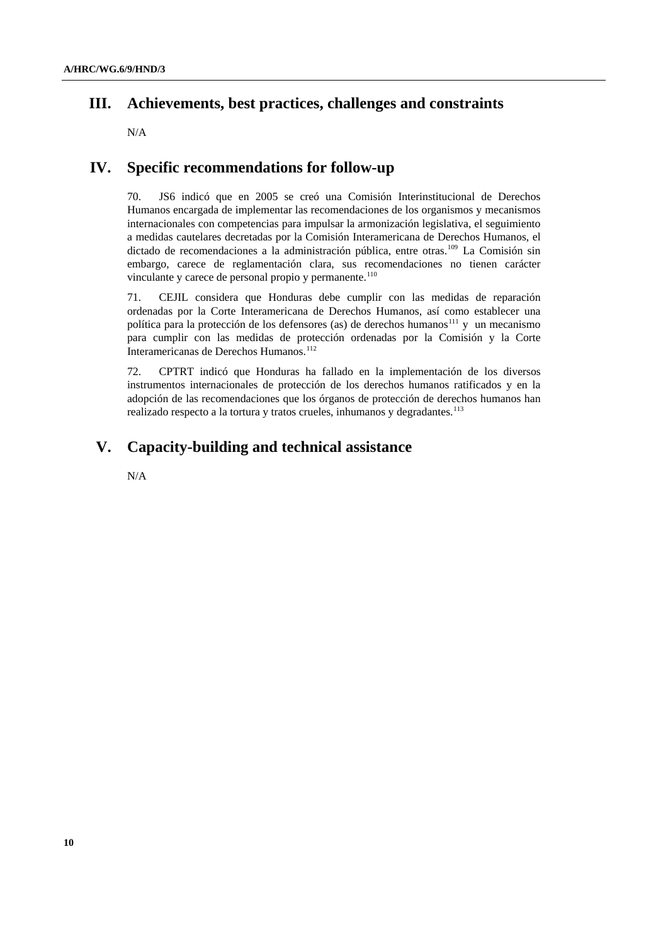## **III. Achievements, best practices, challenges and constraints**

N/A

## **IV. Specific recommendations for follow-up**

70. JS6 indicó que en 2005 se creó una Comisión Interinstitucional de Derechos Humanos encargada de implementar las recomendaciones de los organismos y mecanismos internacionales con competencias para impulsar la armonización legislativa, el seguimiento a medidas cautelares decretadas por la Comisión Interamericana de Derechos Humanos, el dictado de recomendaciones a la administración pública, entre otras.<sup>[109](#page-13-1)</sup> La Comisión sin embargo, carece de reglamentación clara, sus recomendaciones no tienen carácter vinculante y carece de personal propio y permanente.<sup>[110](#page-13-1)</sup>

71. CEJIL considera que Honduras debe cumplir con las medidas de reparación ordenadas por la Corte Interamericana de Derechos Humanos, así como establecer una política para la protección de los defensores (as) de derechos humanos<sup>[111](#page-13-1)</sup> y un mecanismo para cumplir con las medidas de protección ordenadas por la Comisión y la Corte Interamericanas de Derechos Humanos.<sup>[112](#page-13-1)</sup>

72. CPTRT indicó que Honduras ha fallado en la implementación de los diversos instrumentos internacionales de protección de los derechos humanos ratificados y en la adopción de las recomendaciones que los órganos de protección de derechos humanos han realizado respecto a la tortura y tratos crueles, inhumanos y degradantes.<sup>[113](#page-13-1)</sup>

# **V. Capacity-building and technical assistance**

N/A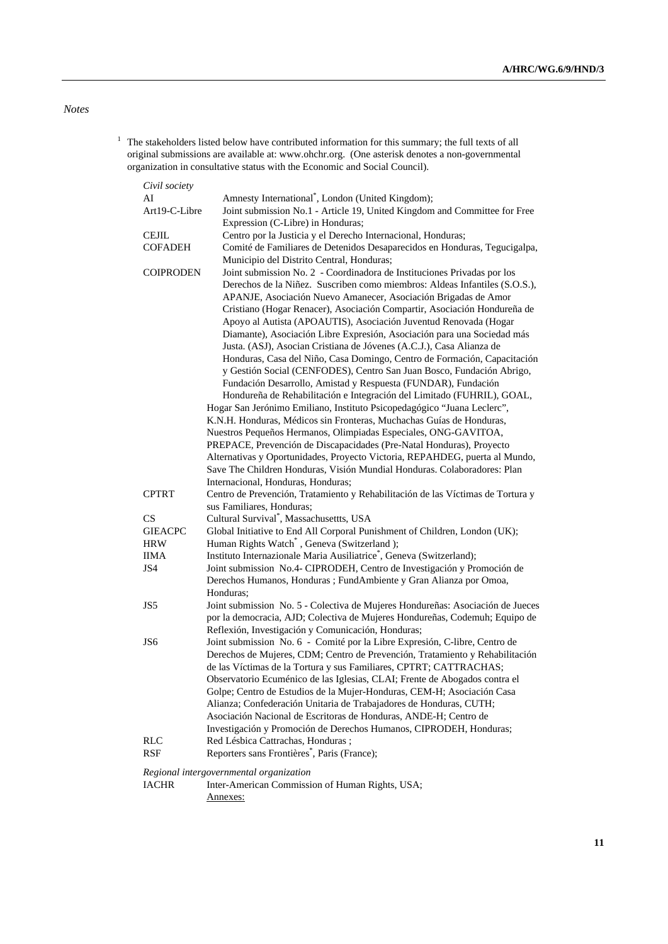## *Notes*

 $1$  The stakeholders listed below have contributed information for this summary; the full texts of all original submissions are available at: [www.ohchr.org.](http://www.ohchr.org/) (One asterisk denotes a non-governmental organization in consultative status with the Economic and Social Council).

| Civil society    |                                                                                                                                                         |
|------------------|---------------------------------------------------------------------------------------------------------------------------------------------------------|
| AI               | Amnesty International <sup>*</sup> , London (United Kingdom);                                                                                           |
| Art19-C-Libre    | Joint submission No.1 - Article 19, United Kingdom and Committee for Free                                                                               |
|                  | Expression (C-Libre) in Honduras;                                                                                                                       |
| <b>CEJIL</b>     | Centro por la Justicia y el Derecho Internacional, Honduras;                                                                                            |
| <b>COFADEH</b>   | Comité de Familiares de Detenidos Desaparecidos en Honduras, Tegucigalpa,                                                                               |
|                  | Municipio del Distrito Central, Honduras;                                                                                                               |
| <b>COIPRODEN</b> | Joint submission No. 2 - Coordinadora de Instituciones Privadas por los<br>Derechos de la Niñez. Suscriben como miembros: Aldeas Infantiles (S.O.S.),   |
|                  | APANJE, Asociación Nuevo Amanecer, Asociación Brigadas de Amor                                                                                          |
|                  | Cristiano (Hogar Renacer), Asociación Compartir, Asociación Hondureña de<br>Apoyo al Autista (APOAUTIS), Asociación Juventud Renovada (Hogar            |
|                  | Diamante), Asociación Libre Expresión, Asociación para una Sociedad más<br>Justa. (ASJ), Asocian Cristiana de Jóvenes (A.C.J.), Casa Alianza de         |
|                  | Honduras, Casa del Niño, Casa Domingo, Centro de Formación, Capacitación                                                                                |
|                  | y Gestión Social (CENFODES), Centro San Juan Bosco, Fundación Abrigo,<br>Fundación Desarrollo, Amistad y Respuesta (FUNDAR), Fundación                  |
|                  | Hondureña de Rehabilitación e Integración del Limitado (FUHRIL), GOAL,                                                                                  |
|                  | Hogar San Jerónimo Emiliano, Instituto Psicopedagógico "Juana Leclerc",                                                                                 |
|                  | K.N.H. Honduras, Médicos sin Fronteras, Muchachas Guías de Honduras,<br>Nuestros Pequeños Hermanos, Olimpiadas Especiales, ONG-GAVITOA,                 |
|                  | PREPACE, Prevención de Discapacidades (Pre-Natal Honduras), Proyecto                                                                                    |
|                  | Alternativas y Oportunidades, Proyecto Victoria, REPAHDEG, puerta al Mundo,<br>Save The Children Honduras, Visión Mundial Honduras. Colaboradores: Plan |
|                  | Internacional, Honduras, Honduras;                                                                                                                      |
| <b>CPTRT</b>     | Centro de Prevención, Tratamiento y Rehabilitación de las Víctimas de Tortura y                                                                         |
|                  | sus Familiares, Honduras;                                                                                                                               |
| CS               | Cultural Survival <sup>*</sup> , Massachusettts, USA                                                                                                    |
| <b>GIEACPC</b>   | Global Initiative to End All Corporal Punishment of Children, London (UK);                                                                              |
| <b>HRW</b>       | Human Rights Watch*, Geneva (Switzerland);                                                                                                              |
| <b>IIMA</b>      | Instituto Internazionale Maria Ausiliatrice <sup>*</sup> , Geneva (Switzerland);                                                                        |
| JS4              | Joint submission No.4- CIPRODEH, Centro de Investigación y Promoción de                                                                                 |
|                  | Derechos Humanos, Honduras ; FundAmbiente y Gran Alianza por Omoa,<br>Honduras;                                                                         |
| JS5              | Joint submission No. 5 - Colectiva de Mujeres Hondureñas: Asociación de Jueces                                                                          |
|                  | por la democracia, AJD; Colectiva de Mujeres Hondureñas, Codemuh; Equipo de                                                                             |
|                  | Reflexión, Investigación y Comunicación, Honduras;                                                                                                      |
| JS6              | Joint submission No. 6 - Comité por la Libre Expresión, C-libre, Centro de                                                                              |
|                  | Derechos de Mujeres, CDM; Centro de Prevención, Tratamiento y Rehabilitación                                                                            |
|                  | de las Víctimas de la Tortura y sus Familiares, CPTRT; CATTRACHAS;                                                                                      |
|                  | Observatorio Ecuménico de las Iglesias, CLAI; Frente de Abogados contra el                                                                              |
|                  | Golpe; Centro de Estudios de la Mujer-Honduras, CEM-H; Asociación Casa                                                                                  |
|                  | Alianza; Confederación Unitaria de Trabajadores de Honduras, CUTH;                                                                                      |
|                  | Asociación Nacional de Escritoras de Honduras, ANDE-H; Centro de                                                                                        |
|                  | Investigación y Promoción de Derechos Humanos, CIPRODEH, Honduras;                                                                                      |
| RLC              | Red Lésbica Cattrachas, Honduras;                                                                                                                       |
| <b>RSF</b>       | Reporters sans Frontières <sup>*</sup> , Paris (France);                                                                                                |

*Regional intergovernmental organization* 

Inter-American Commission of Human Rights, USA; Annexes: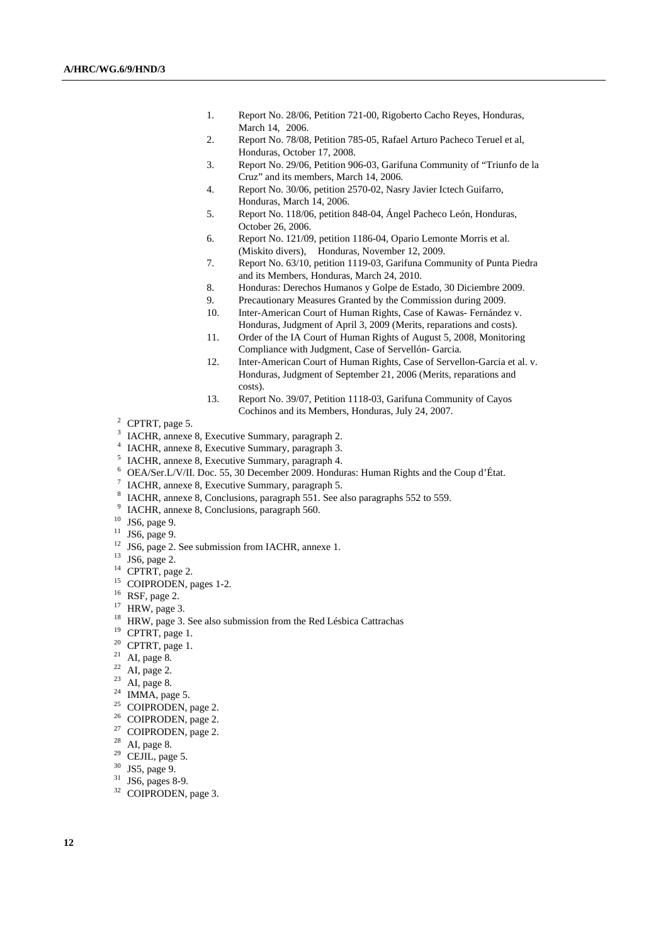- 1. Report No. 28/06, Petition 721-00, Rigoberto Cacho Reyes, Honduras, March 14, 2006.
- 2. Report No. 78/08, Petition 785-05, Rafael Arturo Pacheco Teruel et al, Honduras, October 17, 2008.
- 3. Report No. 29/06, Petition 906-03, Garifuna Community of "Triunfo de la Cruz" and its members, March 14, 2006.
- 4. Report No. 30/06, petition 2570-02, Nasry Javier Ictech Guifarro, Honduras, March 14, 2006.
- 5. Report No. 118/06, petition 848-04, Ángel Pacheco León, Honduras, October 26, 2006.
- 6. Report No. 121/09, petition 1186-04, Opario Lemonte Morris et al. (Miskito divers), Honduras, November 12, 2009.
- 7. Report No. 63/10, petition 1119-03, Garifuna Community of Punta Piedra and its Members, Honduras, March 24, 2010.
- 8. Honduras: Derechos Humanos y Golpe de Estado, 30 Diciembre 2009.
- 9. Precautionary Measures Granted by the Commission during 2009.
- 10. Inter-American Court of Human Rights, Case of Kawas- Fernández v. Honduras, Judgment of April 3, 2009 (Merits, reparations and costs).
- 11. Order of the IA Court of Human Rights of August 5, 2008, Monitoring Compliance with Judgment, Case of Servellón- Garcia.
- 12. Inter-American Court of Human Rights, Case of Servellon-Garcia et al. v. Honduras, Judgment of September 21, 2006 (Merits, reparations and costs).
- 13. Report No. 39/07, Petition 1118-03, Garifuna Community of Cayos Cochinos and its Members, Honduras, July 24, 2007.
- $2$  CPTRT, page 5.
- 3 IACHR, annexe 8, Executive Summary, paragraph 2.
- 4 IACHR, annexe 8, Executive Summary, paragraph 3.
- 5 IACHR, annexe 8, Executive Summary, paragraph 4.
- 6 OEA/Ser.L/V/II. Doc. 55, 30 December 2009. Honduras: Human Rights and the Coup d'État.
- 7 IACHR, annexe 8, Executive Summary, paragraph 5.
- <sup>8</sup> IACHR, annexe 8, Conclusions, paragraph 551. See also paragraphs 552 to 559.
- IACHR, annexe 8, Conclusions, paragraph 560.
- $10$  JS6, page 9.
- $11$  JS6, page 9.
- <sup>12</sup> JS6, page 2. See submission from IACHR, annexe 1.<br><sup>13</sup> JS6, page 2.
- 
- <sup>14</sup> CPTRT, page 2.
- <sup>15</sup> COIPRODEN, pages 1-2.
- $16$  RSF, page 2.
- $17$  HRW, page 3.
- <sup>18</sup> HRW, page 3. See also submission from the Red Lésbica Cattrachas
- <sup>19</sup> CPTRT, page 1.
- $20$  CPTRT, page 1.
- $21$  AI, page 8.
- <sup>22</sup> AI, page 2.
- $23$  AI, page 8.
- $24$  IMMA, page 5.
- <sup>25</sup> COIPRODEN, page 2.
- <sup>26</sup> COIPRODEN, page 2.
- 27 COIPRODEN, page 2.
- 28 AI, page 8.
- $^{29}$  CEJIL, page 5.
- 30 JS5, page 9.
- $31$  JS6, pages 8-9.
- <sup>32</sup> COIPRODEN, page 3.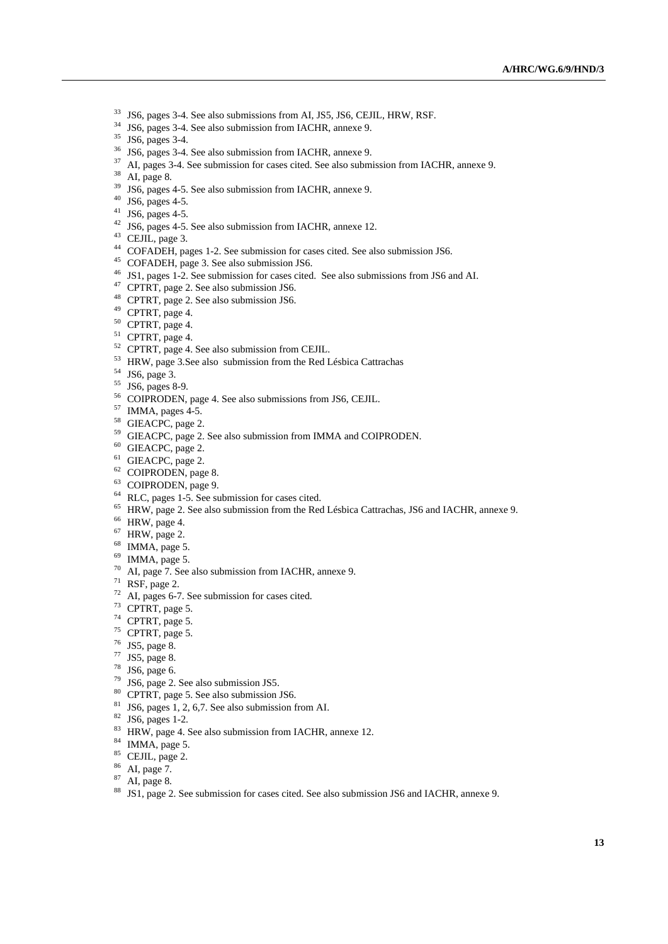- <sup>33</sup> JS6, pages 3-4. See also submissions from AI, JS5, JS6, CEJIL, HRW, RSF.<br><sup>34</sup> JS6, pages 3-4. See also submission from IACHR, annexe 9.<br><sup>35</sup> JS6, pages 3-4.
- 
- 
- 
- <sup>36</sup> JS6, pages 3-4. See also submission from IACHR, annexe 9.<br><sup>37</sup> AI, pages 3-4. See submission for cases cited. See also submission from IACHR, annexe 9.<br><sup>38</sup> AI, page 8.
- 
- $39$  JS6, pages 4-5. See also submission from IACHR, annexe 9.<br>40 JS6, pages 4-5.
- 
- <sup>41</sup> JS6, pages 4-5.
- 
- 
- <sup>42</sup> JS6, pages 4-5. See also submission from IACHR, annexe 12.<br><sup>43</sup> CEJIL, page 3.<br><sup>44</sup> COFADEH, pages 1-2. See submission for cases cited. See also submission JS6.
- 
- <sup>45</sup> COFADEH, page 3. See also submission JS6.<br><sup>46</sup> JS1, pages 1-2. See submission for cases cited. See also submissions from JS6 and AI.<br><sup>47</sup> CPTRT, page 2. See also submission JS6.<br><sup>48</sup> CPTRT, page 2. See also submissio
- 
- 
- 
- 50 CPTRT, page 4.
- 
- <sup>51</sup> CPTRT, page 4.<br><sup>52</sup> CPTRT, page 4. See also submission from CEJIL.
- $^{53}$  HRW, page 3. See also submission from the Red Lésbica Cattrachas  $^{54}$  JS6, page 3.
- 
- 55 JS6, pages 8-9.
- <sup>56</sup> COIPRODEN, page 4. See also submissions from JS6, CEJIL.<br><sup>57</sup> IMMA, pages 4-5.
- 
- <sup>58</sup> GIEACPC, page 2.
- $^{59}$  GIEACPC, page 2. See also submission from IMMA and COIPRODEN.  $^{60}$  GIEACPC, page 2.
- 
- <sup>61</sup> GIEACPC, page 2.
- 62 COIPRODEN, page 8.
- 63 COIPRODEN, page 9.
- 64 RLC, pages 1-5. See submission for cases cited.
- <sup>65</sup> HRW, page 2. See also submission from the Red Lésbica Cattrachas, JS6 and IACHR, annexe 9.<br><sup>66</sup> HRW, page 4.
- 
- $67$  HRW, page 2.
- $68$  IMMA, page 5.
- $69$  IMMA, page 5.
- 70 AI, page 7. See also submission from IACHR, annexe 9.
- $71$  RSF, page 2.
- $72$  AI, pages 6-7. See submission for cases cited.<br> $73$  CPTRT, page 5.
- 
- $74$  CPTRT, page 5.
- $75$  CPTRT, page 5.
- 76 JS5, page 8.
- 77 JS5, page 8.
- $78$  JS6, page 6.
- 
- $^{79}$  JS6, page 2. See also submission JS5.<br><sup>80</sup> CPTRT, page 5. See also submission JS6.
- $81$  JS6, pages 1, 2, 6,7. See also submission from AI.
- 82 JS6, pages 1-2.
- 83 HRW, page 4. See also submission from IACHR, annexe 12.
- 84 IMMA, page 5.
- 85 CEJIL, page 2.
- 86 AI, page 7.
- 87 AI, page 8.
- 88 JS1, page 2. See submission for cases cited. See also submission JS6 and IACHR, annexe 9.